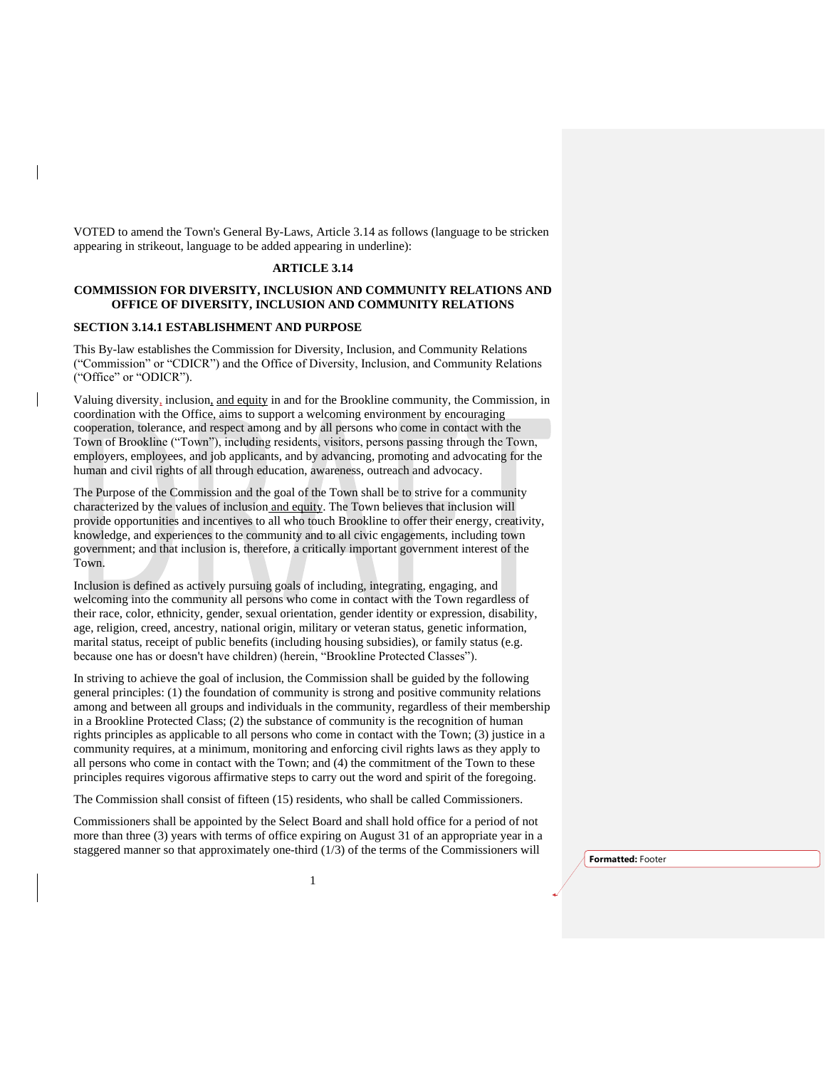VOTED to amend the Town's General By-Laws, Article 3.14 as follows (language to be stricken appearing in strikeout, language to be added appearing in underline):

### **ARTICLE 3.14**

## **COMMISSION FOR DIVERSITY, INCLUSION AND COMMUNITY RELATIONS AND OFFICE OF DIVERSITY, INCLUSION AND COMMUNITY RELATIONS**

### **SECTION 3.14.1 ESTABLISHMENT AND PURPOSE**

This By-law establishes the Commission for Diversity, Inclusion, and Community Relations ("Commission" or "CDICR") and the Office of Diversity, Inclusion, and Community Relations ("Office" or "ODICR").

Valuing diversity, inclusion, and equity in and for the Brookline community, the Commission, in coordination with the Office, aims to support a welcoming environment by encouraging cooperation, tolerance, and respect among and by all persons who come in contact with the Town of Brookline ("Town"), including residents, visitors, persons passing through the Town, employers, employees, and job applicants, and by advancing, promoting and advocating for the human and civil rights of all through education, awareness, outreach and advocacy.

The Purpose of the Commission and the goal of the Town shall be to strive for a community characterized by the values of inclusion and equity. The Town believes that inclusion will provide opportunities and incentives to all who touch Brookline to offer their energy, creativity, knowledge, and experiences to the community and to all civic engagements, including town government; and that inclusion is, therefore, a critically important government interest of the Town.

Inclusion is defined as actively pursuing goals of including, integrating, engaging, and welcoming into the community all persons who come in contact with the Town regardless of their race, color, ethnicity, gender, sexual orientation, gender identity or expression, disability, age, religion, creed, ancestry, national origin, military or veteran status, genetic information, marital status, receipt of public benefits (including housing subsidies), or family status (e.g. because one has or doesn't have children) (herein, "Brookline Protected Classes").

In striving to achieve the goal of inclusion, the Commission shall be guided by the following general principles: (1) the foundation of community is strong and positive community relations among and between all groups and individuals in the community, regardless of their membership in a Brookline Protected Class; (2) the substance of community is the recognition of human rights principles as applicable to all persons who come in contact with the Town; (3) justice in a community requires, at a minimum, monitoring and enforcing civil rights laws as they apply to all persons who come in contact with the Town; and (4) the commitment of the Town to these principles requires vigorous affirmative steps to carry out the word and spirit of the foregoing.

The Commission shall consist of fifteen (15) residents, who shall be called Commissioners.

Commissioners shall be appointed by the Select Board and shall hold office for a period of not more than three (3) years with terms of office expiring on August 31 of an appropriate year in a staggered manner so that approximately one-third (1/3) of the terms of the Commissioners will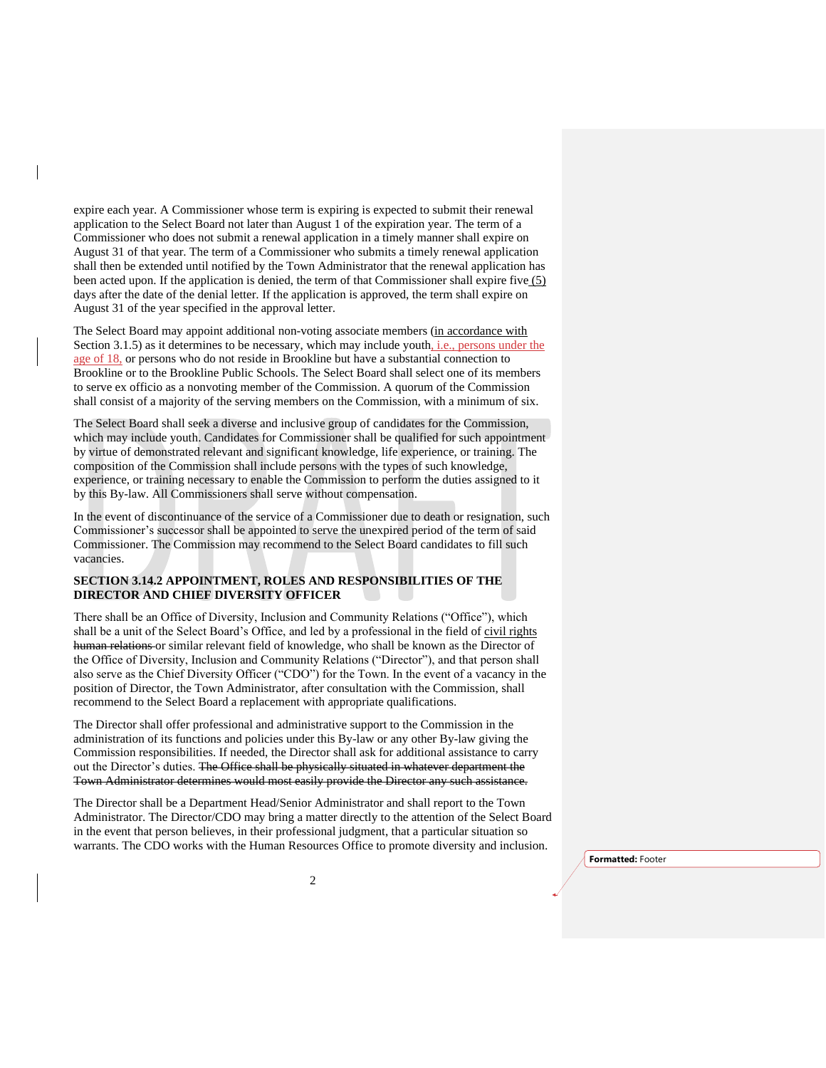expire each year. A Commissioner whose term is expiring is expected to submit their renewal application to the Select Board not later than August 1 of the expiration year. The term of a Commissioner who does not submit a renewal application in a timely manner shall expire on August 31 of that year. The term of a Commissioner who submits a timely renewal application shall then be extended until notified by the Town Administrator that the renewal application has been acted upon. If the application is denied, the term of that Commissioner shall expire five  $(5)$ days after the date of the denial letter. If the application is approved, the term shall expire on August 31 of the year specified in the approval letter.

The Select Board may appoint additional non-voting associate members (in accordance with Section 3.1.5) as it determines to be necessary, which may include youth, i.e., persons under the age of 18, or persons who do not reside in Brookline but have a substantial connection to Brookline or to the Brookline Public Schools. The Select Board shall select one of its members to serve ex officio as a nonvoting member of the Commission. A quorum of the Commission shall consist of a majority of the serving members on the Commission, with a minimum of six.

The Select Board shall seek a diverse and inclusive group of candidates for the Commission, which may include youth. Candidates for Commissioner shall be qualified for such appointment by virtue of demonstrated relevant and significant knowledge, life experience, or training. The composition of the Commission shall include persons with the types of such knowledge, experience, or training necessary to enable the Commission to perform the duties assigned to it by this By-law. All Commissioners shall serve without compensation.

In the event of discontinuance of the service of a Commissioner due to death or resignation, such Commissioner's successor shall be appointed to serve the unexpired period of the term of said Commissioner. The Commission may recommend to the Select Board candidates to fill such vacancies.

## **SECTION 3.14.2 APPOINTMENT, ROLES AND RESPONSIBILITIES OF THE DIRECTOR AND CHIEF DIVERSITY OFFICER**

There shall be an Office of Diversity, Inclusion and Community Relations ("Office"), which shall be a unit of the Select Board's Office, and led by a professional in the field of civil rights human relations or similar relevant field of knowledge, who shall be known as the Director of the Office of Diversity, Inclusion and Community Relations ("Director"), and that person shall also serve as the Chief Diversity Officer ("CDO") for the Town. In the event of a vacancy in the position of Director, the Town Administrator, after consultation with the Commission, shall recommend to the Select Board a replacement with appropriate qualifications.

The Director shall offer professional and administrative support to the Commission in the administration of its functions and policies under this By-law or any other By-law giving the Commission responsibilities. If needed, the Director shall ask for additional assistance to carry out the Director's duties. The Office shall be physically situated in whatever department the Town Administrator determines would most easily provide the Director any such assistance.

The Director shall be a Department Head/Senior Administrator and shall report to the Town Administrator. The Director/CDO may bring a matter directly to the attention of the Select Board in the event that person believes, in their professional judgment, that a particular situation so warrants. The CDO works with the Human Resources Office to promote diversity and inclusion.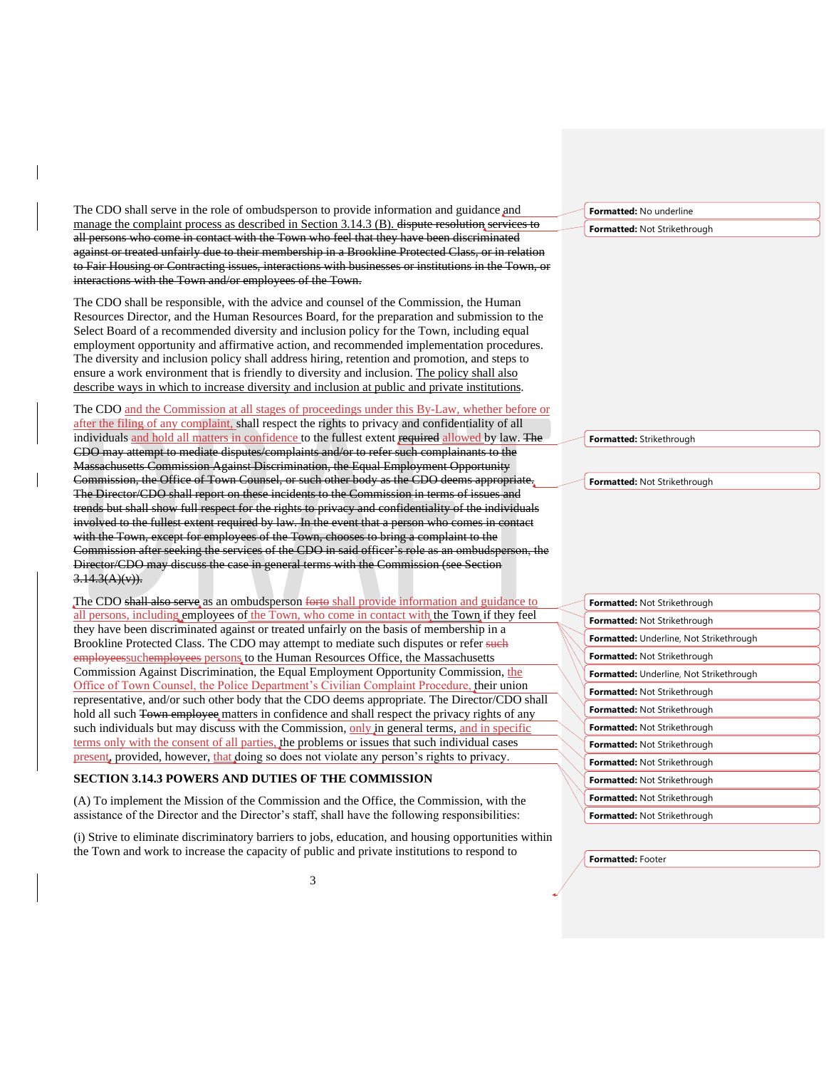The CDO shall serve in the role of ombudsperson to provide information and guidance and manage the complaint process as described in Section 3.14.3 (B). dispute resolution services to all persons who come in contact with the Town who feel that they have been discriminated against or treated unfairly due to their membership in a Brookline Protected Class, or in relation to Fair Housing or Contracting issues, interactions with businesses or institutions in the Town, or interactions with the Town and/or employees of the Town.

The CDO shall be responsible, with the advice and counsel of the Commission, the Human Resources Director, and the Human Resources Board, for the preparation and submission to the Select Board of a recommended diversity and inclusion policy for the Town, including equal employment opportunity and affirmative action, and recommended implementation procedures. The diversity and inclusion policy shall address hiring, retention and promotion, and steps to ensure a work environment that is friendly to diversity and inclusion. The policy shall also describe ways in which to increase diversity and inclusion at public and private institutions.

The CDO and the Commission at all stages of proceedings under this By-Law, whether before or after the filing of any complaint, shall respect the rights to privacy and confidentiality of all individuals and hold all matters in confidence to the fullest extent required allowed by law. The CDO may attempt to mediate disputes/complaints and/or to refer such complainants to the Massachusetts Commission Against Discrimination, the Equal Employment Opportunity Commission, the Office of Town Counsel, or such other body as the CDO deems appropriate. The Director/CDO shall report on these incidents to the Commission in terms of issues and trends but shall show full respect for the rights to privacy and confidentiality of the individuals involved to the fullest extent required by law. In the event that a person who comes in contact with the Town, except for employees of the Town, chooses to bring a complaint to the Commission after seeking the services of the CDO in said officer's role as an ombudsperson, Director/CDO may discuss the case in general terms with the Commission (see Section  $3.14.3(A)(v)$ ).

The CDO shall also serve as an ombudsperson forto shall provide information and guidance to all persons, including employees of the Town, who come in contact with the Town if they feel they have been discriminated against or treated unfairly on the basis of membership in a Brookline Protected Class. The CDO may attempt to mediate such disputes or refer such employeessuchemployees persons to the Human Resources Office, the Massachusetts Commission Against Discrimination, the Equal Employment Opportunity Commission, the Office of Town Counsel, the Police Department's Civilian Complaint Procedure, their union representative, and/or such other body that the CDO deems appropriate. The Director/CDO shall hold all such Town employee matters in confidence and shall respect the privacy rights of any such individuals but may discuss with the Commission, only in general terms, and in specific terms only with the consent of all parties, the problems or issues that such individual cases present, provided, however, that doing so does not violate any person's rights to privacy.

#### **SECTION 3.14.3 POWERS AND DUTIES OF THE COMMISSION**

(A) To implement the Mission of the Commission and the Office, the Commission, with the assistance of the Director and the Director's staff, shall have the following responsibilities:

(i) Strive to eliminate discriminatory barriers to jobs, education, and housing opportunities within the Town and work to increase the capacity of public and private institutions to respond to

**Formatted:** No underline

**Formatted:** Not Strikethrough

**Formatted:** Strikethrough

**Formatted:** Not Strikethrough

| Formatted: Not Strikethrough                   |
|------------------------------------------------|
| <b>Formatted: Not Strikethrough</b>            |
| <b>Formatted:</b> Underline, Not Strikethrough |
| <b>Formatted: Not Strikethrough</b>            |
| <b>Formatted:</b> Underline, Not Strikethrough |
| <b>Formatted: Not Strikethrough</b>            |
| <b>Formatted: Not Strikethrough</b>            |
| <b>Formatted: Not Strikethrough</b>            |
| <b>Formatted: Not Strikethrough</b>            |
| <b>Formatted: Not Strikethrough</b>            |
| <b>Formatted: Not Strikethrough</b>            |
| <b>Formatted: Not Strikethrough</b>            |
| <b>Formatted: Not Strikethrough</b>            |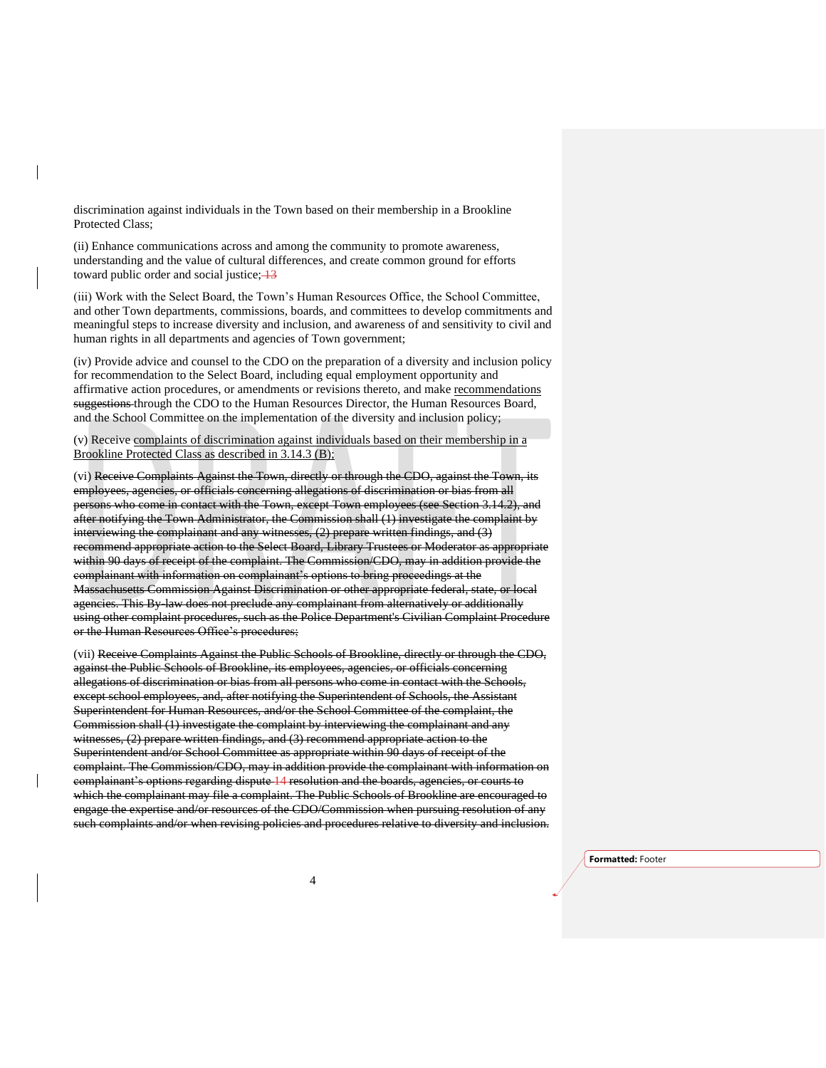discrimination against individuals in the Town based on their membership in a Brookline Protected Class;

(ii) Enhance communications across and among the community to promote awareness, understanding and the value of cultural differences, and create common ground for efforts toward public order and social justice;  $\frac{13}{3}$ 

(iii) Work with the Select Board, the Town's Human Resources Office, the School Committee, and other Town departments, commissions, boards, and committees to develop commitments and meaningful steps to increase diversity and inclusion, and awareness of and sensitivity to civil and human rights in all departments and agencies of Town government;

(iv) Provide advice and counsel to the CDO on the preparation of a diversity and inclusion policy for recommendation to the Select Board, including equal employment opportunity and affirmative action procedures, or amendments or revisions thereto, and make recommendations suggestions through the CDO to the Human Resources Director, the Human Resources Board, and the School Committee on the implementation of the diversity and inclusion policy;

(v) Receive complaints of discrimination against individuals based on their membership in a Brookline Protected Class as described in 3.14.3 (B);

(vi) Receive Complaints Against the Town, directly or through the CDO, against the Town, its employees, agencies, or officials concerning allegations of discrimination or bias from all persons who come in contact with the Town, except Town employees (see Section 3.14.2), after notifying the Town Administrator, the Commission shall (1) investigate the complaint by interviewing the complainant and any witnesses, (2) prepare written findings, and (3) recommend appropriate action to the Select Board, Library Trustees or Moderator as appropriate within 90 days of receipt of the complaint. The Commission/CDO, may in addition provide the complainant with information on complainant's options to bring proceedings at the Massachusetts Commission Against Discrimination or other appropriate federal, state, or local agencies. This By-law does not preclude any complainant from alternatively or additionally using other complaint procedures, such as the Police Department's Civilian Complaint Procedure or the Human Resources Office's procedures;

(vii) Receive Complaints Against the Public Schools of Brookline, directly or through the CDO, against the Public Schools of Brookline, its employees, agencies, or officials concerning allegations of discrimination or bias from all persons who come in contact with the Schools, except school employees, and, after notifying the Superintendent of Schools, the Assistant Superintendent for Human Resources, and/or the School Committee of the complaint, the Commission shall (1) investigate the complaint by interviewing the complainant and any witnesses, (2) prepare written findings, and (3) recommend appropriate action to the Superintendent and/or School Committee as appropriate within 90 days of receipt of the complaint. The Commission/CDO, may in addition provide the complainant with information on complainant's options regarding dispute 14 resolution and the boards, agencies, or courts to which the complainant may file a complaint. The Public Schools of Brookline are encouraged to engage the expertise and/or resources of the CDO/Commission when pursuing resolution of any such complaints and/or when revising policies and procedures relative to diversity and inclusion.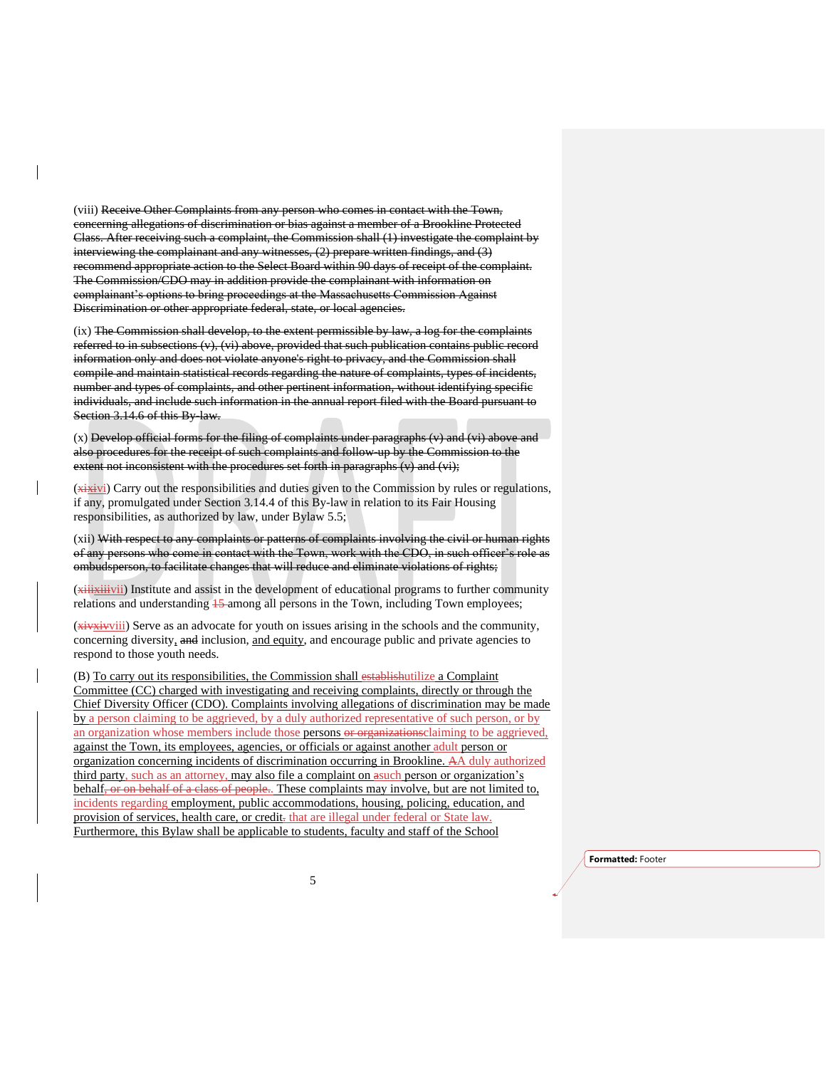(viii) Receive Other Complaints from any person who comes in contact with the Town, concerning allegations of discrimination or bias against a member of a Brookline Protected Class. After receiving such a complaint, the Commission shall (1) investigate the complaint by interviewing the complainant and any witnesses, (2) prepare written findings, and (3) recommend appropriate action to the Select Board within 90 days of receipt of the complaint. The Commission/CDO may in addition provide the complainant with information on complainant's options to bring proceedings at the Massachusetts Commission Against Discrimination or other appropriate federal, state, or local agencies.

 $(ix)$  The Commission shall develop, to the extent permissible by law, a log for the complaints referred to in subsections (v), (vi) above, provided that such publication contains public record information only and does not violate anyone's right to privacy, and the Commission shall compile and maintain statistical records regarding the nature of complaints, types of incidents, number and types of complaints, and other pertinent information, without identifying specific individuals, and include such information in the annual report filed with the Board pursuant to Section 3.14.6 of this By-law.

 $(x)$  Develop official forms for the filing of complaints under paragraphs  $(v)$  and  $(vi)$  above and also procedures for the receipt of such complaints and follow-up by the Commission to the extent not inconsistent with the procedures set forth in paragraphs (v) and (vi);

(xixivi) Carry out the responsibilities and duties given to the Commission by rules or regulations, if any, promulgated under Section 3.14.4 of this By-law in relation to its Fair Housing responsibilities, as authorized by law, under Bylaw 5.5;

(xii) With respect to any complaints or patterns of complaints involving the civil or human rights of any persons who come in contact with the Town, work with the CDO, in such officer's role as ombudsperson, to facilitate changes that will reduce and eliminate violations of rights;

(xiiixiiivii) Institute and assist in the development of educational programs to further community relations and understanding  $15$ -among all persons in the Town, including Town employees;

(xivxivviii) Serve as an advocate for youth on issues arising in the schools and the community, concerning diversity, and inclusion, and equity, and encourage public and private agencies to respond to those youth needs.

(B) To carry out its responsibilities, the Commission shall establishutilize a Complaint Committee (CC) charged with investigating and receiving complaints, directly or through the Chief Diversity Officer (CDO). Complaints involving allegations of discrimination may be made by a person claiming to be aggrieved, by a duly authorized representative of such person, or by an organization whose members include those persons or organizations claiming to be aggrieved, against the Town, its employees, agencies, or officials or against another adult person or organization concerning incidents of discrimination occurring in Brookline. AA duly authorized third party, such as an attorney, may also file a complaint on asuch person or organization's behalf, or on behalf of a class of people.. These complaints may involve, but are not limited to, incidents regarding employment, public accommodations, housing, policing, education, and provision of services, health care, or credit-that are illegal under federal or State law. Furthermore, this Bylaw shall be applicable to students, faculty and staff of the School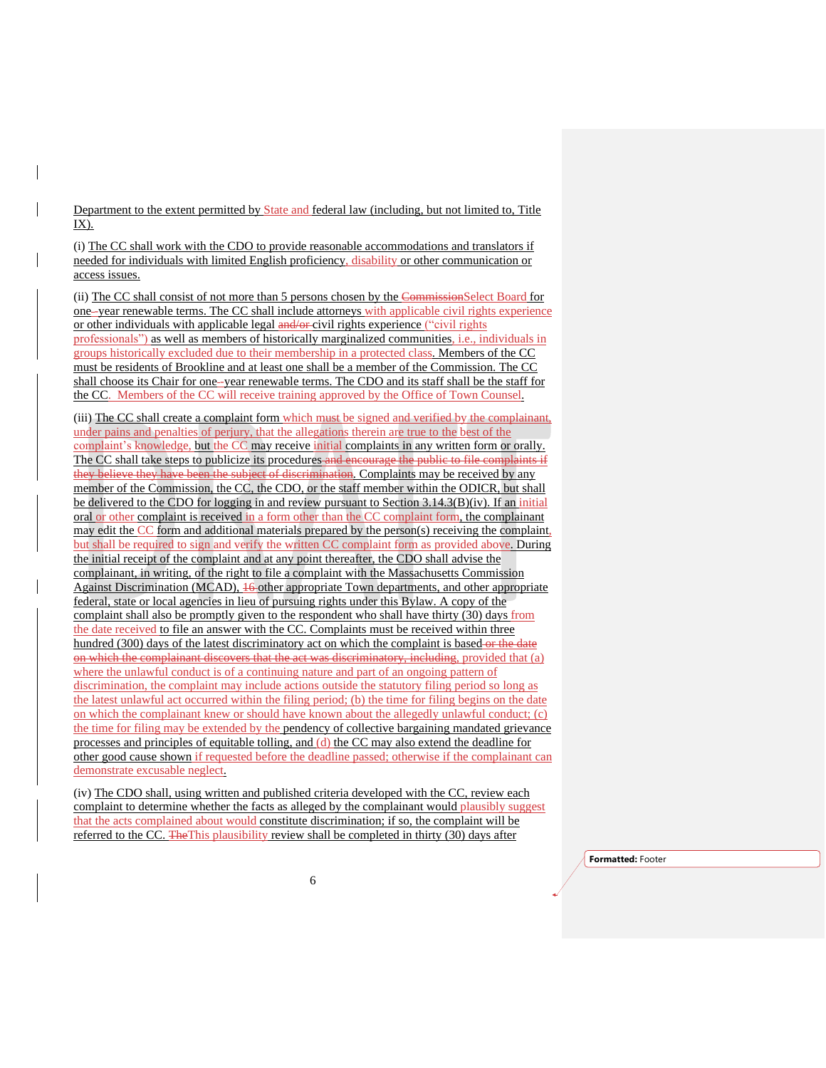Department to the extent permitted by State and federal law (including, but not limited to, Title IX).

(i) The CC shall work with the CDO to provide reasonable accommodations and translators if needed for individuals with limited English proficiency, disability or other communication or access issues.

(ii) The CC shall consist of not more than 5 persons chosen by the CommissionSelect Board for one-year renewable terms. The CC shall include attorneys with applicable civil rights experience or other individuals with applicable legal and/or civil rights experience ("civil rights professionals") as well as members of historically marginalized communities, i.e., individuals in groups historically excluded due to their membership in a protected class. Members of the CC must be residents of Brookline and at least one shall be a member of the Commission. The CC shall choose its Chair for one–year renewable terms. The CDO and its staff shall be the staff for the CC. Members of the CC will receive training approved by the Office of Town Counsel.

(iii) The CC shall create a complaint form which must be signed and verified by the complainant, under pains and penalties of perjury, that the allegations therein are true to the best of the complaint's knowledge, but the CC may receive initial complaints in any written form or orally. The CC shall take steps to publicize its procedures and encourage the public to file complaints if they believe they have been the subject of discrimination. Complaints may be received by any member of the Commission, the CC, the CDO, or the staff member within the ODICR, but shall be delivered to the CDO for logging in and review pursuant to Section 3.14.3(B)(iv). If an initial oral or other complaint is received in a form other than the CC complaint form, the complainant may edit the CC form and additional materials prepared by the person(s) receiving the complaint, but shall be required to sign and verify the written CC complaint form as provided above. During the initial receipt of the complaint and at any point thereafter, the CDO shall advise the complainant, in writing, of the right to file a complaint with the Massachusetts Commission Against Discrimination (MCAD), 16 other appropriate Town departments, and other appropriate federal, state or local agencies in lieu of pursuing rights under this Bylaw. A copy of the complaint shall also be promptly given to the respondent who shall have thirty (30) days from the date received to file an answer with the CC. Complaints must be received within three hundred (300) days of the latest discriminatory act on which the complaint is based or the date on which the complainant discovers that the act was discriminatory, including, provided that (a) where the unlawful conduct is of a continuing nature and part of an ongoing pattern of discrimination, the complaint may include actions outside the statutory filing period so long as the latest unlawful act occurred within the filing period; (b) the time for filing begins on the date on which the complainant knew or should have known about the allegedly unlawful conduct; (c) the time for filing may be extended by the pendency of collective bargaining mandated grievance processes and principles of equitable tolling, and (d) the CC may also extend the deadline for other good cause shown if requested before the deadline passed; otherwise if the complainant can demonstrate excusable neglect.

(iv) The CDO shall, using written and published criteria developed with the CC, review each complaint to determine whether the facts as alleged by the complainant would plausibly suggest that the acts complained about would constitute discrimination; if so, the complaint will be referred to the CC. The This plausibility review shall be completed in thirty (30) days after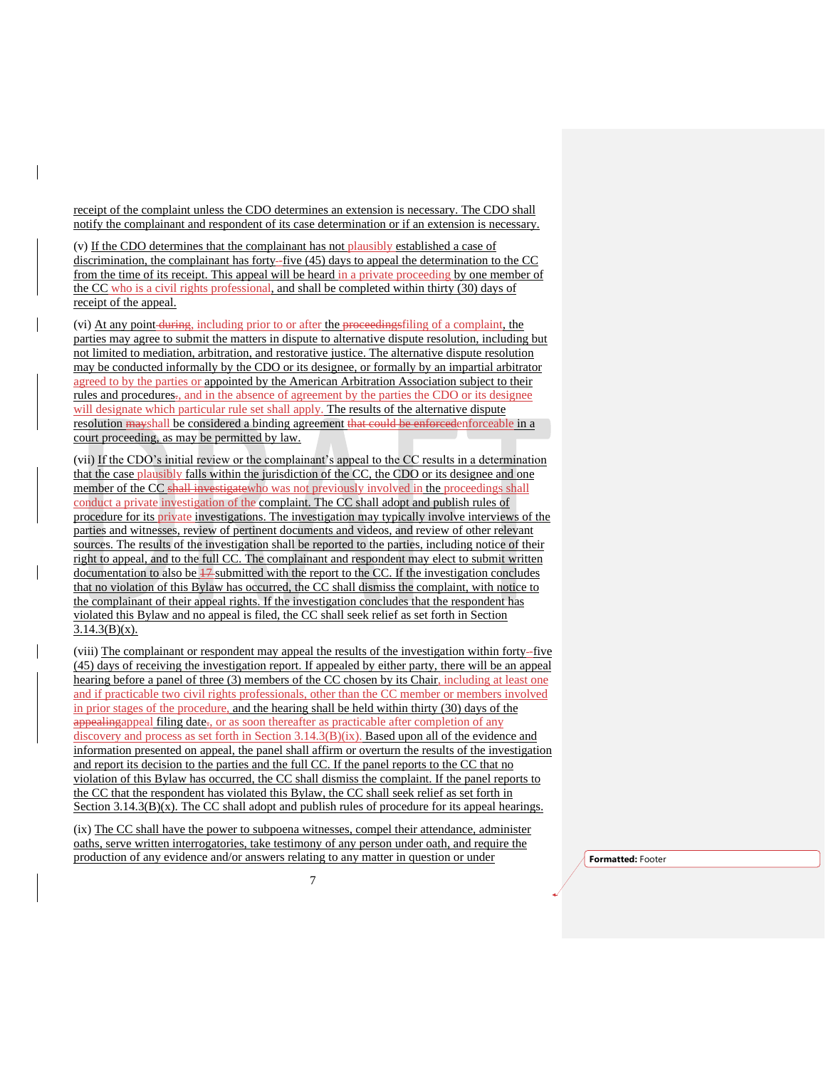receipt of the complaint unless the CDO determines an extension is necessary. The CDO shall notify the complainant and respondent of its case determination or if an extension is necessary.

(v) If the CDO determines that the complainant has not plausibly established a case of discrimination, the complainant has forty–five (45) days to appeal the determination to the CC from the time of its receipt. This appeal will be heard in a private proceeding by one member of the CC who is a civil rights professional, and shall be completed within thirty (30) days of receipt of the appeal.

(vi) At any point during, including prior to or after the proceedingsfiling of a complaint, the parties may agree to submit the matters in dispute to alternative dispute resolution, including but not limited to mediation, arbitration, and restorative justice. The alternative dispute resolution may be conducted informally by the CDO or its designee, or formally by an impartial arbitrator agreed to by the parties or appointed by the American Arbitration Association subject to their rules and procedures., and in the absence of agreement by the parties the CDO or its designee will designate which particular rule set shall apply. The results of the alternative dispute resolution mayshall be considered a binding agreement that could be enforcedenforceable in a court proceeding, as may be permitted by law.

(vii) If the CDO's initial review or the complainant's appeal to the CC results in a determination that the case plausibly falls within the jurisdiction of the CC, the CDO or its designee and one member of the CC shall investigate who was not previously involved in the proceedings shall conduct a private investigation of the complaint. The CC shall adopt and publish rules of procedure for its private investigations. The investigation may typically involve interviews of the parties and witnesses, review of pertinent documents and videos, and review of other relevant sources. The results of the investigation shall be reported to the parties, including notice of their right to appeal, and to the full CC. The complainant and respondent may elect to submit written documentation to also be  $17$ -submitted with the report to the CC. If the investigation concludes that no violation of this Bylaw has occurred, the CC shall dismiss the complaint, with notice to the complainant of their appeal rights. If the investigation concludes that the respondent has violated this Bylaw and no appeal is filed, the CC shall seek relief as set forth in Section  $3.14.3(B)(x)$ .

(viii) The complainant or respondent may appeal the results of the investigation within forty -five (45) days of receiving the investigation report. If appealed by either party, there will be an appeal hearing before a panel of three (3) members of the CC chosen by its Chair, including at least one and if practicable two civil rights professionals, other than the CC member or members involved in prior stages of the procedure, and the hearing shall be held within thirty (30) days of the appealingappeal filing date., or as soon thereafter as practicable after completion of any discovery and process as set forth in Section 3.14.3(B)(ix). Based upon all of the evidence and information presented on appeal, the panel shall affirm or overturn the results of the investigation and report its decision to the parties and the full CC. If the panel reports to the CC that no violation of this Bylaw has occurred, the CC shall dismiss the complaint. If the panel reports to the CC that the respondent has violated this Bylaw, the CC shall seek relief as set forth in Section  $3.14.3(B)(x)$ . The CC shall adopt and publish rules of procedure for its appeal hearings.

(ix) The CC shall have the power to subpoena witnesses, compel their attendance, administer oaths, serve written interrogatories, take testimony of any person under oath, and require the production of any evidence and/or answers relating to any matter in question or under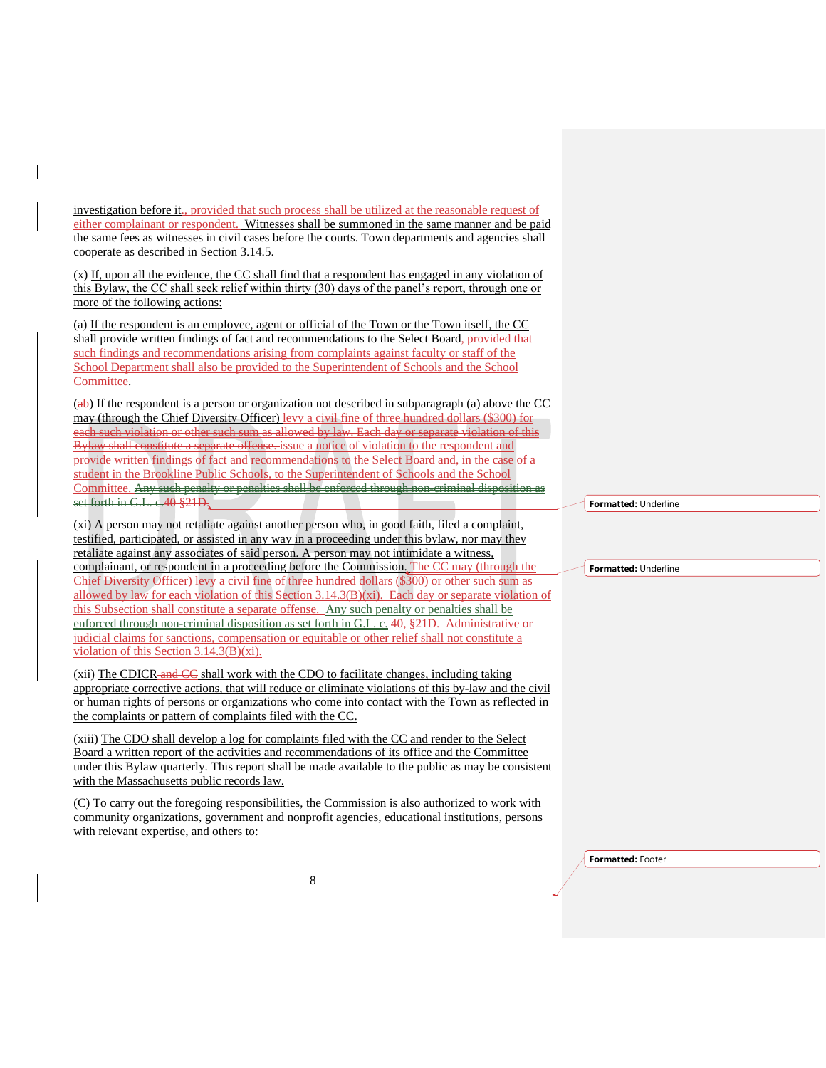investigation before it<sub>r</sub>, provided that such process shall be utilized at the reasonable request of either complainant or respondent. Witnesses shall be summoned in the same manner and be paid the same fees as witnesses in civil cases before the courts. Town departments and agencies shall cooperate as described in Section 3.14.5.

(x) If, upon all the evidence, the CC shall find that a respondent has engaged in any violation of this Bylaw, the CC shall seek relief within thirty (30) days of the panel's report, through one or more of the following actions:

(a) If the respondent is an employee, agent or official of the Town or the Town itself, the CC shall provide written findings of fact and recommendations to the Select Board, provided that such findings and recommendations arising from complaints against faculty or staff of the School Department shall also be provided to the Superintendent of Schools and the School Committee.

(ab) If the respondent is a person or organization not described in subparagraph (a) above the CC may (through the Chief Diversity Officer) levy a civil fine of three hundred dollars (\$300) for each such violation or other such sum as allowed by law. Each day or separate violation of this Bylaw shall constitute a separate offense. issue a notice of violation to the respondent and provide written findings of fact and recommendations to the Select Board and, in the case of a student in the Brookline Public Schools, to the Superintendent of Schools and the School Committee. Any such penalty or penalties shall be enforced through non-criminal disposition as set forth in G.L. e. 40 §21D.

(xi) A person may not retaliate against another person who, in good faith, filed a complaint, testified, participated, or assisted in any way in a proceeding under this bylaw, nor may they retaliate against any associates of said person. A person may not intimidate a witness, complainant, or respondent in a proceeding before the Commission. The CC may (through the Chief Diversity Officer) levy a civil fine of three hundred dollars (\$300) or other such sum as allowed by law for each violation of this Section  $3.14.3(B)(x)$ . Each day or separate violation of this Subsection shall constitute a separate offense. Any such penalty or penalties shall be enforced through non-criminal disposition as set forth in G.L. c. 40, §21D. Administrative or judicial claims for sanctions, compensation or equitable or other relief shall not constitute a violation of this Section 3.14.3(B)(xi).

 $(xii)$  The CDICR-and  $\overline{CC}$  shall work with the CDO to facilitate changes, including taking appropriate corrective actions, that will reduce or eliminate violations of this by-law and the civil or human rights of persons or organizations who come into contact with the Town as reflected in the complaints or pattern of complaints filed with the CC.

(xiii) The CDO shall develop a log for complaints filed with the CC and render to the Select Board a written report of the activities and recommendations of its office and the Committee under this Bylaw quarterly. This report shall be made available to the public as may be consistent with the Massachusetts public records law.

(C) To carry out the foregoing responsibilities, the Commission is also authorized to work with community organizations, government and nonprofit agencies, educational institutions, persons with relevant expertise, and others to:

**Formatted:** Underline

**Formatted:** Underline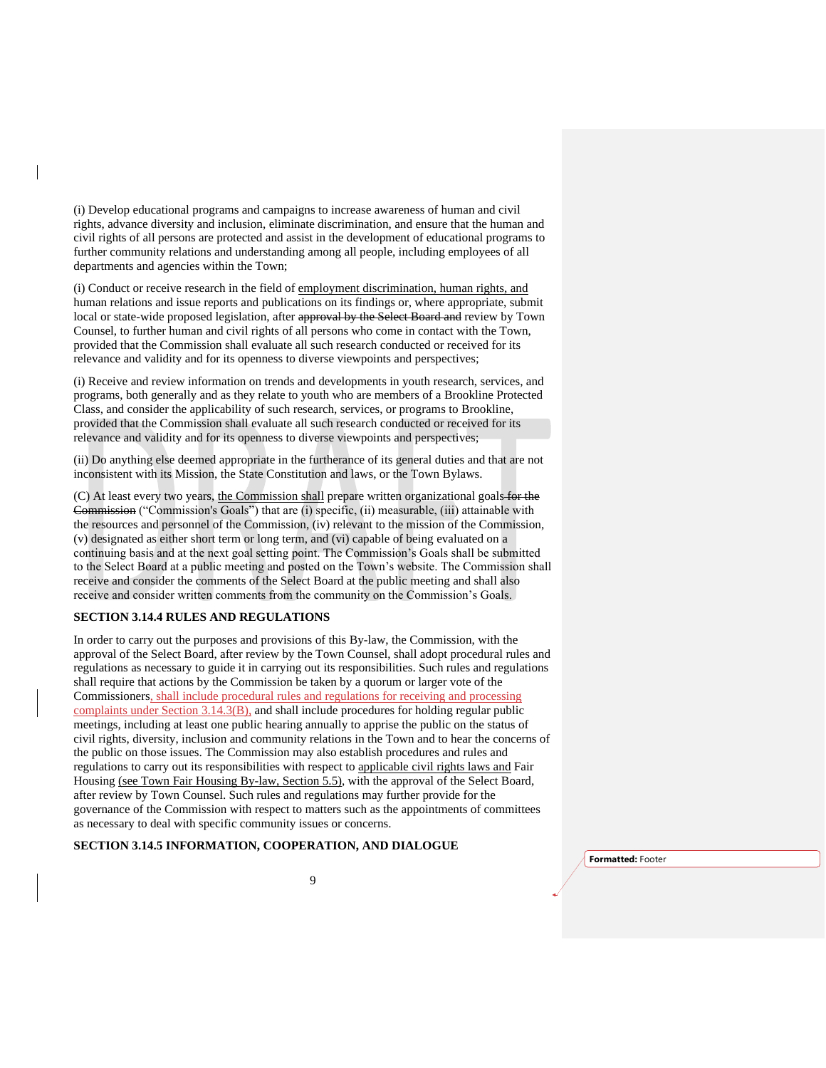(i) Develop educational programs and campaigns to increase awareness of human and civil rights, advance diversity and inclusion, eliminate discrimination, and ensure that the human and civil rights of all persons are protected and assist in the development of educational programs to further community relations and understanding among all people, including employees of all departments and agencies within the Town;

(i) Conduct or receive research in the field of employment discrimination, human rights, and human relations and issue reports and publications on its findings or, where appropriate, submit local or state-wide proposed legislation, after approval by the Select Board and review by Town Counsel, to further human and civil rights of all persons who come in contact with the Town, provided that the Commission shall evaluate all such research conducted or received for its relevance and validity and for its openness to diverse viewpoints and perspectives;

(i) Receive and review information on trends and developments in youth research, services, and programs, both generally and as they relate to youth who are members of a Brookline Protected Class, and consider the applicability of such research, services, or programs to Brookline, provided that the Commission shall evaluate all such research conducted or received for its relevance and validity and for its openness to diverse viewpoints and perspectives;

(ii) Do anything else deemed appropriate in the furtherance of its general duties and that are not inconsistent with its Mission, the State Constitution and laws, or the Town Bylaws.

(C) At least every two years, the Commission shall prepare written organizational goals for the Commission ("Commission's Goals") that are (i) specific, (ii) measurable, (iii) attainable with the resources and personnel of the Commission, (iv) relevant to the mission of the Commission, (v) designated as either short term or long term, and (vi) capable of being evaluated on a continuing basis and at the next goal setting point. The Commission's Goals shall be submitted to the Select Board at a public meeting and posted on the Town's website. The Commission shall receive and consider the comments of the Select Board at the public meeting and shall also receive and consider written comments from the community on the Commission's Goals.

#### **SECTION 3.14.4 RULES AND REGULATIONS**

In order to carry out the purposes and provisions of this By-law, the Commission, with the approval of the Select Board, after review by the Town Counsel, shall adopt procedural rules and regulations as necessary to guide it in carrying out its responsibilities. Such rules and regulations shall require that actions by the Commission be taken by a quorum or larger vote of the Commissioners, shall include procedural rules and regulations for receiving and processing complaints under Section 3.14.3(B), and shall include procedures for holding regular public meetings, including at least one public hearing annually to apprise the public on the status of civil rights, diversity, inclusion and community relations in the Town and to hear the concerns of the public on those issues. The Commission may also establish procedures and rules and regulations to carry out its responsibilities with respect to applicable civil rights laws and Fair Housing (see Town Fair Housing By-law, Section 5.5), with the approval of the Select Board, after review by Town Counsel. Such rules and regulations may further provide for the governance of the Commission with respect to matters such as the appointments of committees as necessary to deal with specific community issues or concerns.

# **SECTION 3.14.5 INFORMATION, COOPERATION, AND DIALOGUE**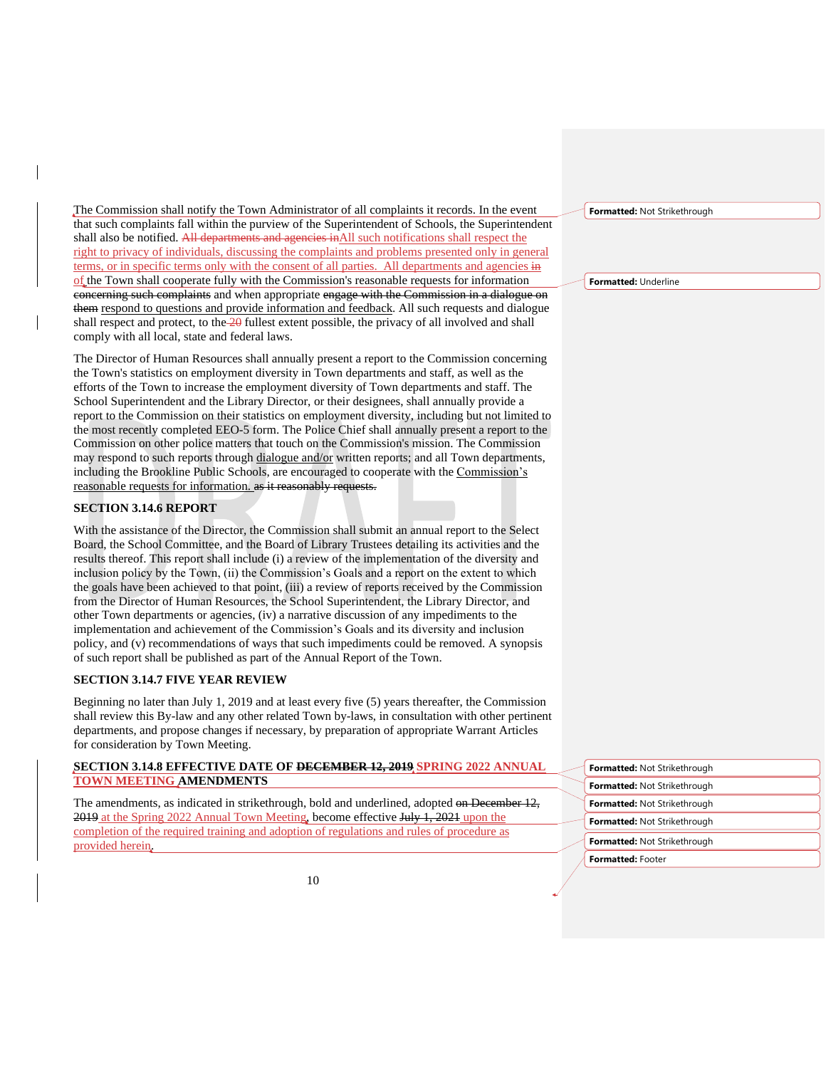The Commission shall notify the Town Administrator of all complaints it records. In the event that such complaints fall within the purview of the Superintendent of Schools, the Superintendent shall also be notified. All departments and agencies inAll such notifications shall respect the right to privacy of individuals, discussing the complaints and problems presented only in general terms, or in specific terms only with the consent of all parties. All departments and agencies in of the Town shall cooperate fully with the Commission's reasonable requests for information concerning such complaints and when appropriate engage with the Commission in a dialogue on them respond to questions and provide information and feedback. All such requests and dialogue shall respect and protect, to the 20 fullest extent possible, the privacy of all involved and shall comply with all local, state and federal laws.

The Director of Human Resources shall annually present a report to the Commission concerning the Town's statistics on employment diversity in Town departments and staff, as well as the efforts of the Town to increase the employment diversity of Town departments and staff. The School Superintendent and the Library Director, or their designees, shall annually provide a report to the Commission on their statistics on employment diversity, including but not limited to the most recently completed EEO-5 form. The Police Chief shall annually present a report to the Commission on other police matters that touch on the Commission's mission. The Commission may respond to such reports through dialogue and/or written reports; and all Town departments, including the Brookline Public Schools, are encouraged to cooperate with the Commission's reasonable requests for information. as it reasonably requests.

## **SECTION 3.14.6 REPORT**

With the assistance of the Director, the Commission shall submit an annual report to the Select Board, the School Committee, and the Board of Library Trustees detailing its activities and the results thereof. This report shall include (i) a review of the implementation of the diversity and inclusion policy by the Town, (ii) the Commission's Goals and a report on the extent to which the goals have been achieved to that point, (iii) a review of reports received by the Commission from the Director of Human Resources, the School Superintendent, the Library Director, and other Town departments or agencies, (iv) a narrative discussion of any impediments to the implementation and achievement of the Commission's Goals and its diversity and inclusion policy, and (v) recommendations of ways that such impediments could be removed. A synopsis of such report shall be published as part of the Annual Report of the Town.

#### **SECTION 3.14.7 FIVE YEAR REVIEW**

Beginning no later than July 1, 2019 and at least every five (5) years thereafter, the Commission shall review this By-law and any other related Town by-laws, in consultation with other pertinent departments, and propose changes if necessary, by preparation of appropriate Warrant Articles for consideration by Town Meeting.

### **SECTION 3.14.8 EFFECTIVE DATE OF DECEMBER 12, 2019 SPRING 2022 ANNUAL TOWN MEETING AMENDMENTS**

The amendments, as indicated in strikethrough, bold and underlined, adopted on December 12, 2019 at the Spring 2022 Annual Town Meeting, become effective July 1, 2021 upon the completion of the required training and adoption of regulations and rules of procedure as provided herein.

**Formatted:** Not Strikethrough

**Formatted:** Underline

**Formatted:** Footer **Formatted:** Not Strikethrough **Formatted:** Not Strikethrough **Formatted:** Not Strikethrough **Formatted:** Not Strikethrough **Formatted:** Not Strikethrough